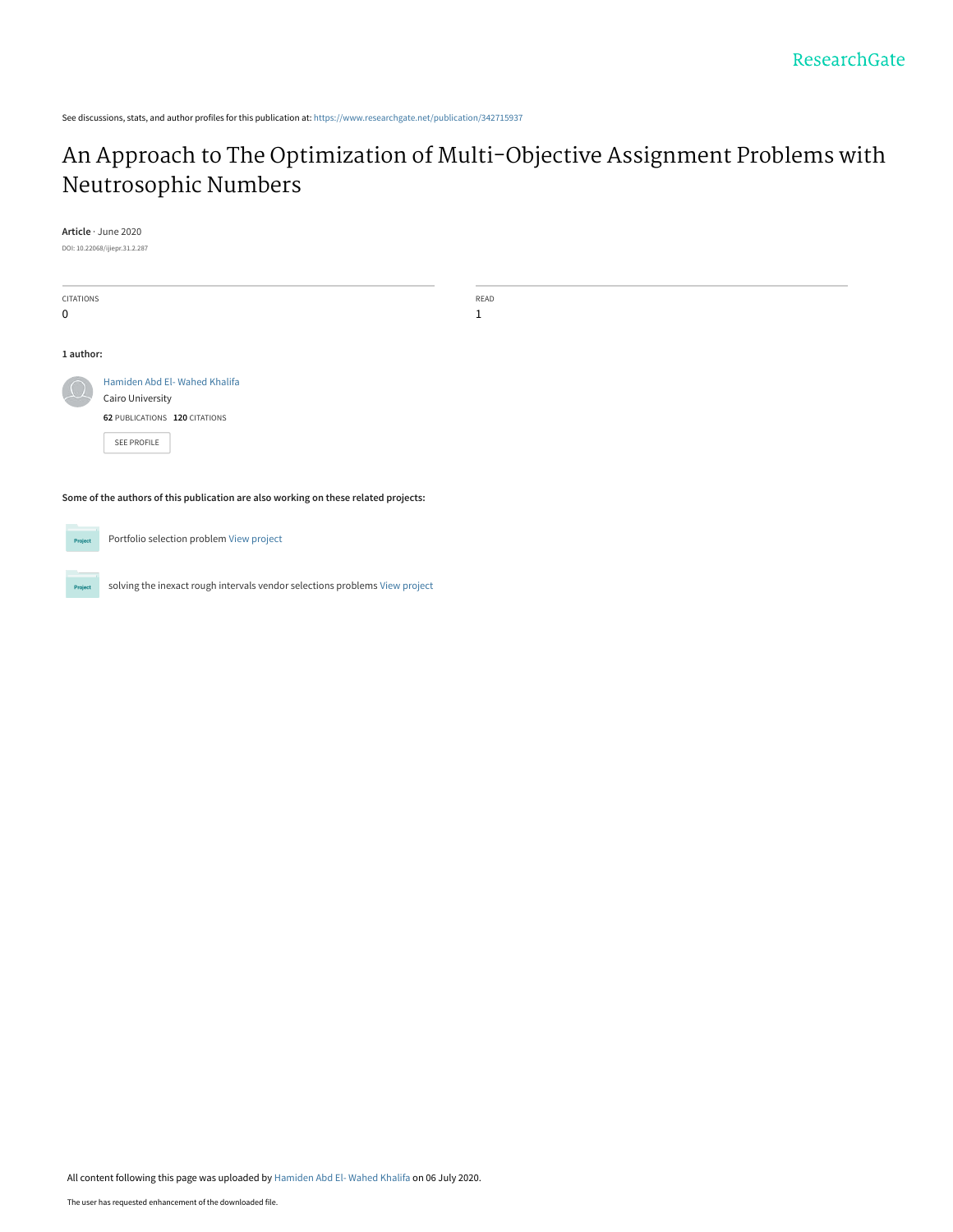See discussions, stats, and author profiles for this publication at: [https://www.researchgate.net/publication/342715937](https://www.researchgate.net/publication/342715937_An_Approach_to_The_Optimization_of_Multi-Objective_Assignment_Problems_with_Neutrosophic_Numbers?enrichId=rgreq-49a0663ff39e219b592413e0ab8bd054-XXX&enrichSource=Y292ZXJQYWdlOzM0MjcxNTkzNztBUzo5MTAyOTM3NDgxNzA3NTVAMTU5NDA0MjM1MDUwNA%3D%3D&el=1_x_2&_esc=publicationCoverPdf)

# [An Approach to The Optimization of Multi-Objective Assignment Problems with](https://www.researchgate.net/publication/342715937_An_Approach_to_The_Optimization_of_Multi-Objective_Assignment_Problems_with_Neutrosophic_Numbers?enrichId=rgreq-49a0663ff39e219b592413e0ab8bd054-XXX&enrichSource=Y292ZXJQYWdlOzM0MjcxNTkzNztBUzo5MTAyOTM3NDgxNzA3NTVAMTU5NDA0MjM1MDUwNA%3D%3D&el=1_x_3&_esc=publicationCoverPdf) Neutrosophic Numbers

**Article** · June 2020

DOI: 10.22068/ijiepr.31.2.287

| <b>CITATIONS</b>                                                                    |                               | READ |  |  |  |  |
|-------------------------------------------------------------------------------------|-------------------------------|------|--|--|--|--|
| $\mathbf 0$                                                                         |                               | 1    |  |  |  |  |
|                                                                                     |                               |      |  |  |  |  |
| 1 author:                                                                           |                               |      |  |  |  |  |
|                                                                                     | Hamiden Abd El-Wahed Khalifa  |      |  |  |  |  |
|                                                                                     | Cairo University              |      |  |  |  |  |
|                                                                                     | 62 PUBLICATIONS 120 CITATIONS |      |  |  |  |  |
|                                                                                     | SEE PROFILE                   |      |  |  |  |  |
|                                                                                     |                               |      |  |  |  |  |
| Some of the authors of this publication are also working on these related projects: |                               |      |  |  |  |  |
|                                                                                     |                               |      |  |  |  |  |

Portfolio selection problem [View project](https://www.researchgate.net/project/Portfolio-selection-problem?enrichId=rgreq-49a0663ff39e219b592413e0ab8bd054-XXX&enrichSource=Y292ZXJQYWdlOzM0MjcxNTkzNztBUzo5MTAyOTM3NDgxNzA3NTVAMTU5NDA0MjM1MDUwNA%3D%3D&el=1_x_9&_esc=publicationCoverPdf) Project

solving the inexact rough intervals vendor selections problems [View project](https://www.researchgate.net/project/solving-the-inexact-rough-intervals-vendor-selections-problems?enrichId=rgreq-49a0663ff39e219b592413e0ab8bd054-XXX&enrichSource=Y292ZXJQYWdlOzM0MjcxNTkzNztBUzo5MTAyOTM3NDgxNzA3NTVAMTU5NDA0MjM1MDUwNA%3D%3D&el=1_x_9&_esc=publicationCoverPdf) Project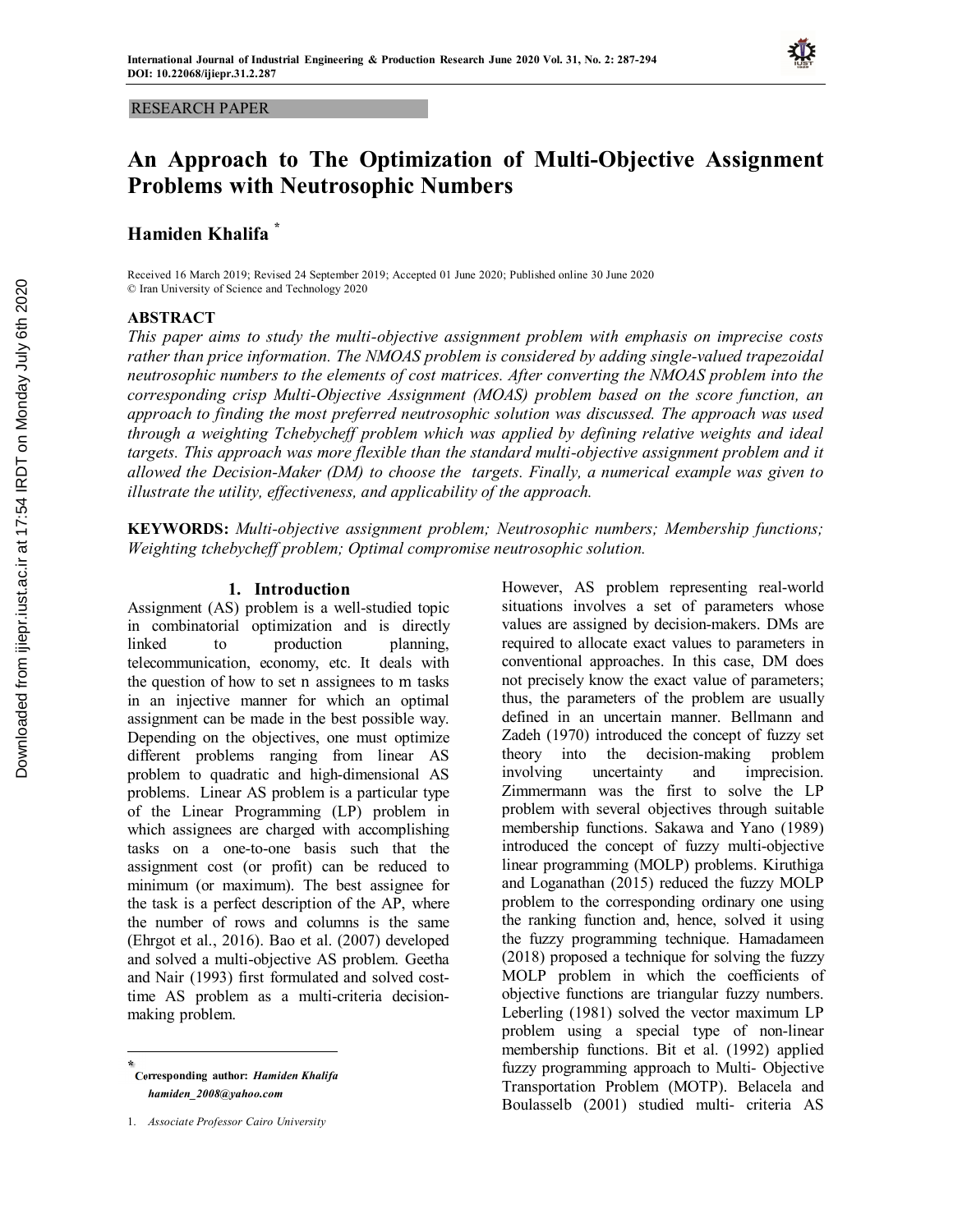### RESEARCH PAPER

# **An Approach to The Optimization of Multi-Objective Assignment Problems with Neutrosophic Numbers**

# **Hamiden Khalifa \***

Received 16 March 2019; Revised 24 September 2019; Accepted 01 June 2020; Published online 30 June 2020 © Iran University of Science and Technology 2020

# **ABSTRACT**

*This paper aims to study the multi-objective assignment problem with emphasis on imprecise costs*  rather than price information. The NMOAS problem is considered by adding single-valued trapezoidal *neutrosophic numbers to the elements of cost matrices. After converting the NMOAS problem into the corresponding crisp Multi-Objective Assignment (MOAS) problem based on the score function, an approach to finding the most preferred neutrosophic solution was discussed. The approach was used through a weighting Tchebycheff problem which was applied by defining relative weights and ideal targets. This approach was more flexible than the standard multi-objective assignment problem and it allowed the Decision-Maker (DM) to choose the targets. Finally, a numerical example was given to illustrate the utility, effectiveness, and applicability of the approach.*

**KEYWORDS:** *Multi-objective assignment problem; Neutrosophic numbers; Membership functions; Weighting tchebycheff problem; Optimal compromise neutrosophic solution.*

### **1.** Introduction

Assignment (AS) problem is a well-studied topic in combinatorial optimization and is directly linked to production planning. telecommunication, economy, etc. It deals with the question of how to set n assignees to m tasks in an injective manner for which an optimal assignment can be made in the best possible way. Depending on the objectives, one must optimize different problems ranging from linear AS problem to quadratic and high-dimensional AS problems. Linear AS problem is a particular type of the Linear Programming (LP) problem in which assignees are charged with accomplishing tasks on a one-to-one basis such that the assignment cost (or profit) can be reduced to minimum (or maximum). The best assignee for the task is a perfect description of the AP, where the number of rows and columns is the same (Ehrgot et al., 2016). Bao et al. (2007) developed and solved a multi-objective AS problem. Geetha and Nair (1993) first formulated and solved costtime AS problem as a multi-criteria decisionmaking problem.

**Corresponding author:** *Hamiden Khalifa* **\*** *hamiden\_2008@yahoo.com*

However, AS problem representing real-world situations involves a set of parameters whose values are assigned by decision-makers. DMs are required to allocate exact values to parameters in conventional approaches. In this case, DM does not precisely know the exact value of parameters; thus, the parameters of the problem are usually defined in an uncertain manner. Bellmann and Zadeh (1970) introduced the concept of fuzzy set theory into the decision-making problem involving uncertainty and imprecision. Zimmermann was the first to solve the LP problem with several objectives through suitable membership functions. Sakawa and Yano (1989) introduced the concept of fuzzy multi-objective linear programming (MOLP) problems. Kiruthiga and Loganathan (2015) reduced the fuzzy MOLP problem to the corresponding ordinary one using the ranking function and, hence, solved it using the fuzzy programming technique. Hamadameen (2018) proposed a technique for solving the fuzzy MOLP problem in which the coefficients of objective functions are triangular fuzzy numbers. Leberling (1981) solved the vector maximum LP problem using a special type of non-linear membership functions. Bit et al. (1992) applied fuzzy programming approach to Multi- Objective Transportation Problem (MOTP). Belacela and Boulasselb (2001) studied multi- criteria AS

<sup>1.</sup> *Associate Professor Cairo University*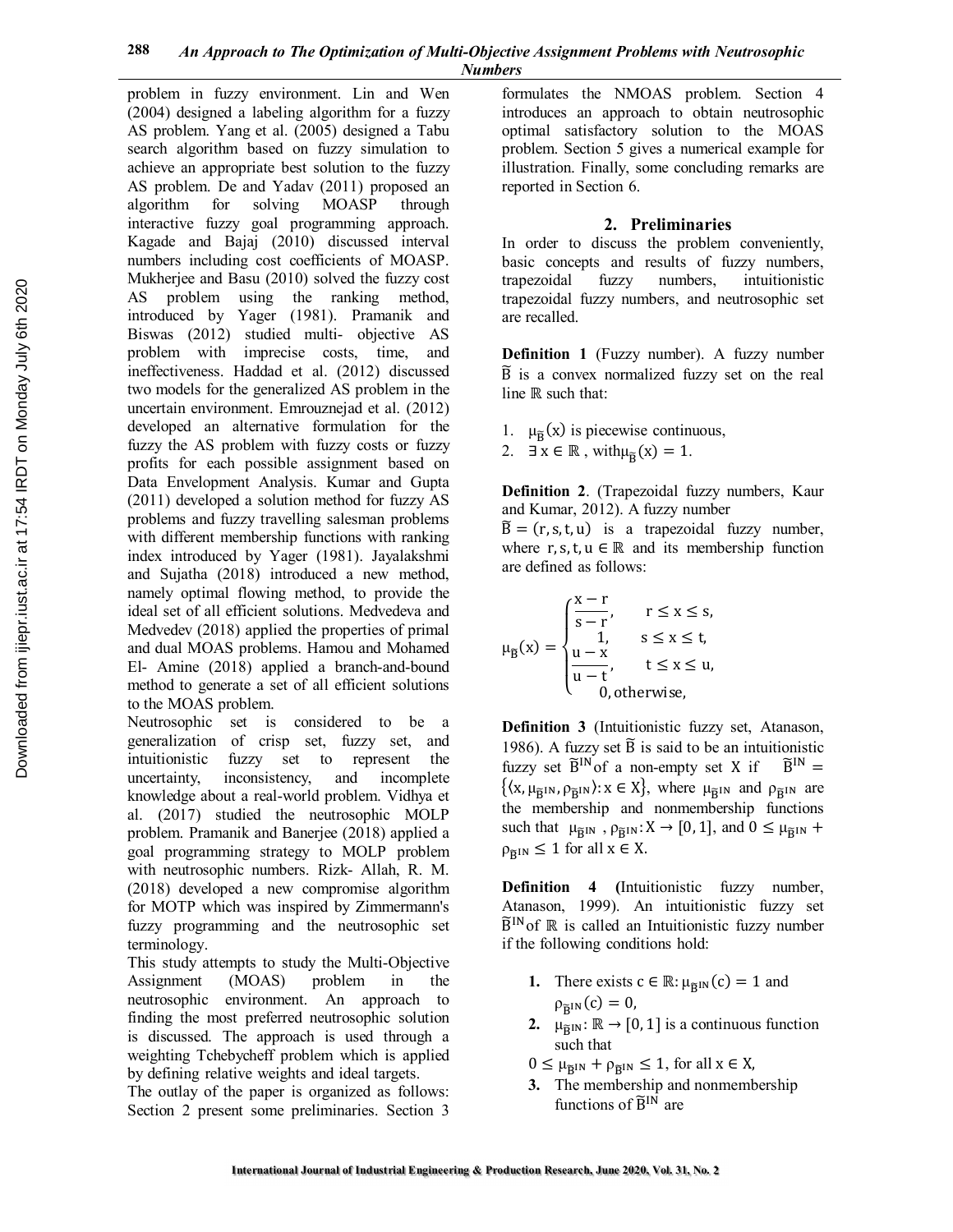problem in fuzzy environment. Lin and Wen (2004) designed a labeling algorithm for a fuzzy AS problem. Yang et al. (2005) designed a Tabu search algorithm based on fuzzy simulation to achieve an appropriate best solution to the fuzzy AS problem. De and Yadav (2011) proposed an algorithm for solving MOASP through interactive fuzzy goal programming approach. Kagade and Bajaj (2010) discussed interval numbers including cost coefficients of MOASP. Mukherjee and Basu (2010) solved the fuzzy cost AS problem using the ranking method, introduced by Yager (1981). Pramanik and Biswas (2012) studied multi- objective AS problem with imprecise costs, time, and ineffectiveness. Haddad et al. (2012) discussed two models for the generalized AS problem in the uncertain environment. Emrouznejad et al. (2012) developed an alternative formulation for the fuzzy the AS problem with fuzzy costs or fuzzy profits for each possible assignment based on Data Envelopment Analysis. Kumar and Gupta (2011) developed a solution method for fuzzy AS problems and fuzzy travelling salesman problems with different membership functions with ranking index introduced by Yager (1981). Jayalakshmi and Sujatha (2018) introduced a new method, namely optimal flowing method, to provide the ideal set of all efficient solutions. Medvedeva and Medvedev (2018) applied the properties of primal and dual MOAS problems. Hamou and Mohamed El- Amine (2018) applied a branch-and-bound method to generate a set of all efficient solutions to the MOAS problem.

Neutrosophic set is considered to be a generalization of crisp set, fuzzy set, and intuitionistic fuzzy set to represent the uncertainty, inconsistency, and incomplete knowledge about a real-world problem. Vidhya et al. (2017) studied the neutrosophic MOLP problem. Pramanik and Banerjee (2018) applied a goal programming strategy to MOLP problem with neutrosophic numbers. Rizk- Allah, R. M. (2018) developed a new compromise algorithm for MOTP which was inspired by Zimmermann's fuzzy programming and the neutrosophic set terminology.

This study attempts to study the Multi-Objective Assignment (MOAS) problem in the neutrosophic environment. An approach to finding the most preferred neutrosophic solution is discussed. The approach is used through a weighting Tchebycheff problem which is applied by defining relative weights and ideal targets.

The outlay of the paper is organized as follows: Section 2 present some preliminaries. Section 3

formulates the NMOAS problem. Section 4 introduces an approach to obtain neutrosophic optimal satisfactory solution to the MOAS problem. Section 5 gives a numerical example for illustration. Finally, some concluding remarks are reported in Section 6.

# **2. Preliminaries**

In order to discuss the problem conveniently, basic concepts and results of fuzzy numbers, trapezoidal fuzzy numbers, intuitionistic trapezoidal fuzzy numbers, and neutrosophic set are recalled.

**Definition 1** (Fuzzy number). A fuzzy number  $\widetilde{B}$  is a convex normalized fuzzy set on the real line ℝ such that:

- 1.  $\mu_{\tilde{B}}(x)$  is piecewise continuous,
- 2.  $\exists x \in \mathbb{R}$ , with  $\mu_{\tilde{B}}(x) = 1$ .

**Definition 2**. (Trapezoidal fuzzy numbers, Kaur and Kumar, 2012). A fuzzy number

 $\widetilde{B} = (r, s, t, u)$  is a trapezoidal fuzzy number, where r, s, t,  $u \in \mathbb{R}$  and its membership function are defined as follows:

$$
\mu_{\widetilde{B}}(x) = \begin{cases} \frac{x-r}{s-r}, & r \leq x \leq s, \\ 1, & s \leq x \leq t, \\ \frac{u-x}{u-t}, & t \leq x \leq u, \\ 0, \text{otherwise}, \end{cases}
$$

**Definition 3** (Intuitionistic fuzzy set, Atanason, 1986). A fuzzy set  $\tilde{B}$  is said to be an intuitionistic fuzzy set  $\widetilde{B}^{IN}$  of a non-empty set X if  $\widetilde{B}^{IN}$  =  $\{(x, \mu_{\tilde{B}^{IN}}, \rho_{\tilde{B}^{IN}}): x \in X\}$ , where  $\mu_{\tilde{B}^{IN}}$  and  $\rho_{\tilde{B}^{IN}}$  are the membership and nonmembership functions such that  $\mu_{\widetilde{B}^{IN}}$ ,  $\rho_{\widetilde{B}^{IN}}$ :  $X \to [0, 1]$ , and  $0 \le \mu_{\widetilde{B}^{IN}}$  +  $\rho_{\widetilde{B}^{IN}} \leq 1$  for all  $x \in X$ .

**Definition 4 (**Intuitionistic fuzzy number, Atanason, 1999). An intuitionistic fuzzy set  $\widetilde{B}^{IN}$  of  $\mathbb R$  is called an Intuitionistic fuzzy number if the following conditions hold:

- **1.** There exists  $c \in \mathbb{R}$ :  $\mu_{\tilde{B}^{IN}}(c) = 1$  and  $\rho_{\widetilde{B}^{IN}}(c) = 0$ ,
- **2.**  $\mu_{\widetilde{B}^{IN}}: \mathbb{R} \to [0, 1]$  is a continuous function such that
- $0 \leq \mu_{\widetilde{B}IN} + \rho_{\widetilde{B}IN} \leq 1$ , for all  $x \in X$ ,
- **3.** The membership and nonmembership functions of  $\tilde{B}^{IN}$  are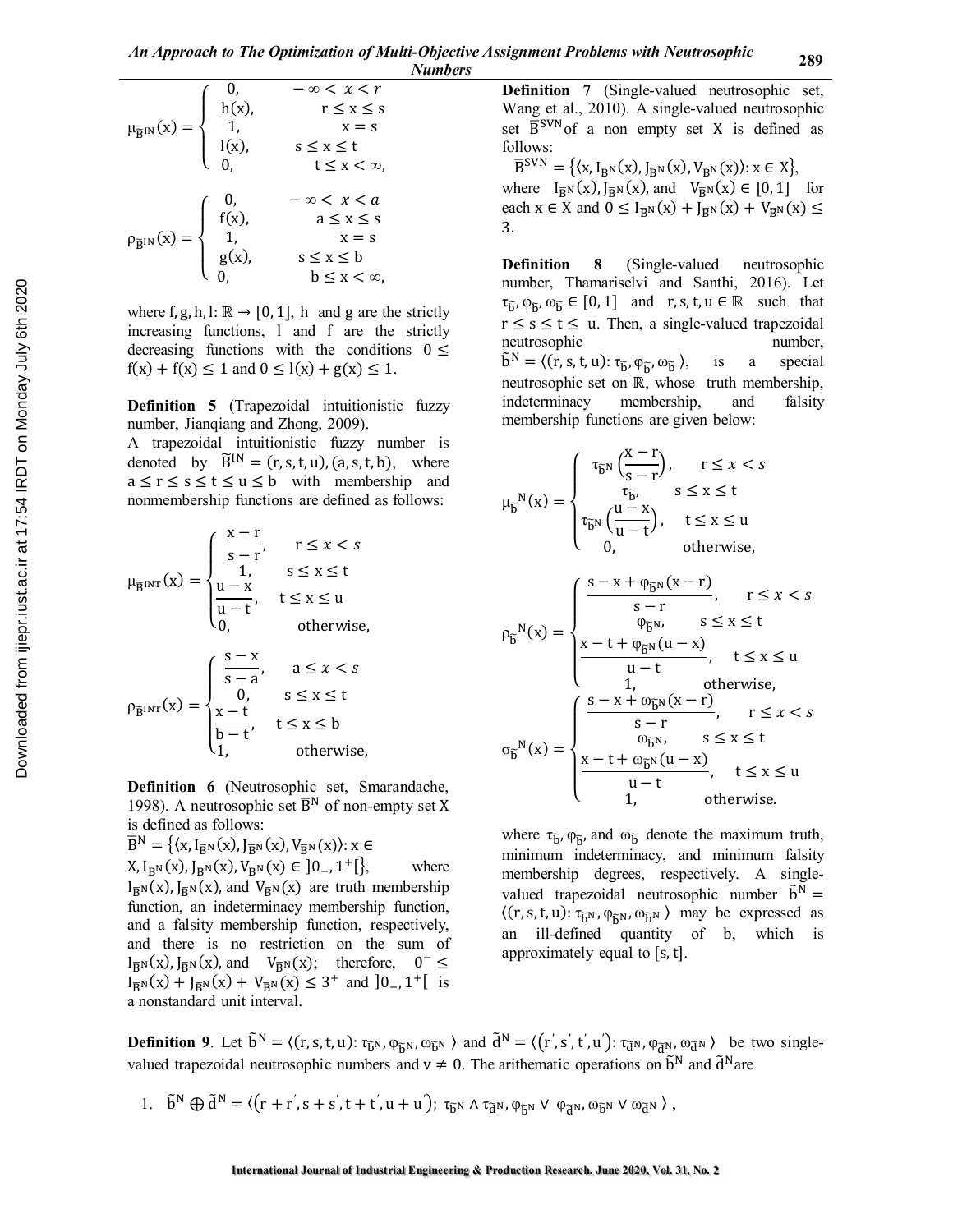$$
\mu_{\widetilde{B}^{IN}}(x) = \begin{cases}\n0, & -\infty < x < r \\
h(x), & r \leq x \leq s \\
1, & x = s \\
l(x), & s \leq x \leq t \\
0, & t \leq x < \infty,\n\end{cases}
$$
\n
$$
\rho_{\widetilde{B}^{IN}}(x) = \begin{cases}\n0, & -\infty < x < a \\
f(x), & a \leq x \leq s \\
1, & x = s \\
0, & b \leq x < \infty,\n\end{cases}
$$

where f, g, h, l:  $\mathbb{R} \to [0, 1]$ , h and g are the strictly increasing functions, l and f are the strictly decreasing functions with the conditions  $0 \le$  $f(x) + f(x) \le 1$  and  $0 \le l(x) + g(x) \le 1$ .

**Definition 5** (Trapezoidal intuitionistic fuzzy number, Jianqiang and Zhong, 2009).

A trapezoidal intuitionistic fuzzy number is denoted by  $\widetilde{B}^{IN} = (r, s, t, u), (a, s, t, b),$  where  $a \le r \le s \le t \le u \le b$  with membership and nonmembership functions are defined as follows:

$$
\mu_{\overline{B}^{\text{INT}}}(x) = \begin{cases}\n\frac{x-r}{s-r}, & r \leq x < s \\
\frac{1}{1}, & s \leq x \leq t \\
\frac{u-x}{u-t}, & t \leq x \leq u \\
0, & \text{otherwise,} \\
\frac{s-x}{0}, & s \leq x < s \\
\frac{x-t}{b-t}, & t \leq x \leq b \\
1, & \text{otherwise,}\n\end{cases}
$$

**Definition 6** (Neutrosophic set, Smarandache, 1998). A neutrosophic set  $\overline{B}^{N}$  of non-empty set X is defined as follows:

$$
\overline{B}^N = \{ \langle x, I_{\overline{B}^N}(x), I_{\overline{B}^N}(x), V_{\overline{B}^N}(x) \rangle : x \in
$$
  
\n
$$
X, I_{\overline{B}^N}(x), I_{\overline{B}^N}(x), V_{\overline{B}^N}(x) \in ]0_-, 1^+[\},
$$
 where  $I_{\overline{B}^N}(x), I_{\overline{B}^N}(x)$ , and  $V_{\overline{B}^N}(x)$  are truth membership function, an indeterminacy membership function, and a falsity membership function, respectively, and there is no restriction on the sum of  $I_{\overline{B}^N}(x), I_{\overline{B}^N}(x)$ , and  $V_{\overline{B}^N}(x)$ ; therefore,  $0^- \leq I_{\overline{B}^N}(x) + I_{\overline{B}^N}(x) + V_{\overline{B}^N}(x) \leq 3^+$  and  $]0_-, 1^+[$  is a nonstandard unit interval.

**Definition 7** (Single-valued neutrosophic set, Wang et al., 2010). A single-valued neutrosophic set  $\overline{B}$ <sup>SVN</sup> of a non empty set X is defined as follows:

 $\overline{B}^{SVN} = \{ \langle x, I_{\overline{R}^N}(x), I_{\overline{R}^N}(x), V_{\overline{R}^N}(x) \rangle : x \in X \},\$ where  $I_{\overline{R}N}(x)$ ,  $J_{\overline{R}N}(x)$ , and  $V_{\overline{R}N}(x) \in [0, 1]$  for each  $x \in X$  and  $0 \leq I_{\overline{R}^N}(x) + I_{\overline{R}^N}(x) + V_{\overline{R}^N}(x) \leq$ 3.

**Definition 8** (Single-valued neutrosophic number, Thamariselvi and Santhi, 2016). Let  $\tau_{\tilde{b}}, \varphi_{\tilde{b}}, \omega_{\tilde{b}} \in [0, 1]$  and  $r, s, t, u \in \mathbb{R}$  such that  $r \leq s \leq t \leq u$ . Then, a single-valued trapezoidal neutrosophic number,  $\tilde{\mathbf{b}}^{\mathbf{N}} = \langle (\mathbf{r}, \mathbf{s}, \mathbf{t}, \mathbf{u}) : \tau_{\widetilde{\mathbf{b}}}, \varphi_{\widetilde{\mathbf{b}}}, \omega_{\widetilde{\mathbf{b}}} \rangle$ is a special neutrosophic set on ℝ, whose truth membership, indeterminacy membership, and falsity membership functions are given below:

$$
\mu_{\widetilde{b}}^{N}(x) = \begin{cases}\n\tau_{\widetilde{b}^{N}}\left(\frac{x-r}{s-r}\right), & r \leq x < s \\
\tau_{\widetilde{b}^{N}}\left(\frac{u-x}{u-t}\right), & t \leq x \leq t \\
0, & \text{otherwise,} \\
\end{cases}
$$
\n
$$
\rho_{\widetilde{b}}^{N}(x) = \begin{cases}\n\frac{s-x + \varphi_{\widetilde{b}^{N}}(x-r)}{s-r}, & r \leq x < s \\
\frac{x-t + \varphi_{\widetilde{b}^{N}}(u-x)}{u-t}, & t \leq x \leq t \\
\frac{1}{u-t}, & \text{otherwise,} \\
1, & \text{otherwise,} \\
\sigma_{\widetilde{b}}^{N}(x) = \begin{cases}\n\frac{s-x + \omega_{\widetilde{b}^{N}}(x-r)}{s-r}, & r \leq x < s \\
\frac{s-r}{\omega_{\widetilde{b}^{N}},} & s \leq x \leq t \\
\frac{x-t + \omega_{\widetilde{b}^{N}}(u-x)}{u-t}, & t \leq x \leq u \\
\frac{u-t}{u-t}, & t \leq x \leq u\n\end{cases}
$$

where  $\tau_{\tilde{b}}$ ,  $\varphi_{\tilde{b}}$ , and  $\omega_{\tilde{b}}$  denote the maximum truth, minimum indeterminacy, and minimum falsity membership degrees, respectively. A singlevalued trapezoidal neutrosophic number  $\tilde{b}^{N} =$  $\langle (r, s, t, u): \tau_{\bar{b}^N}, \varphi_{\bar{b}^N}, \omega_{\bar{b}^N} \rangle$  may be expressed as an ill-defined quantity of b, which is approximately equal to [s,t].

**Definition 9**. Let  $\tilde{b}^N = \langle (r, s, t, u) : \tau_{\tilde{b}^N}, \varphi_{\tilde{b}^N}, \omega_{\tilde{b}^N} \rangle$  and  $\tilde{d}^N = \langle (r', s', t', u') : \tau_{\tilde{d}^N}, \varphi_{\tilde{d}^N}, \omega_{\tilde{d}^N} \rangle$  be two singlevalued trapezoidal neutrosophic numbers and  $v \neq 0$ . The arithematic operations on  $\tilde{b}^{N}$  and  $\tilde{d}^{N}$ are

1.  $\tilde{b}^N \bigoplus \tilde{d}^N = \langle (r + r', s + s', t + t', u + u') ; \tau_{\tilde{b}^N} \wedge \tau_{\tilde{d}^N}, \varphi_{\tilde{b}^N} \vee \varphi_{\tilde{d}^N}, \omega_{\tilde{b}^N} \vee \omega_{\tilde{d}^N} \rangle$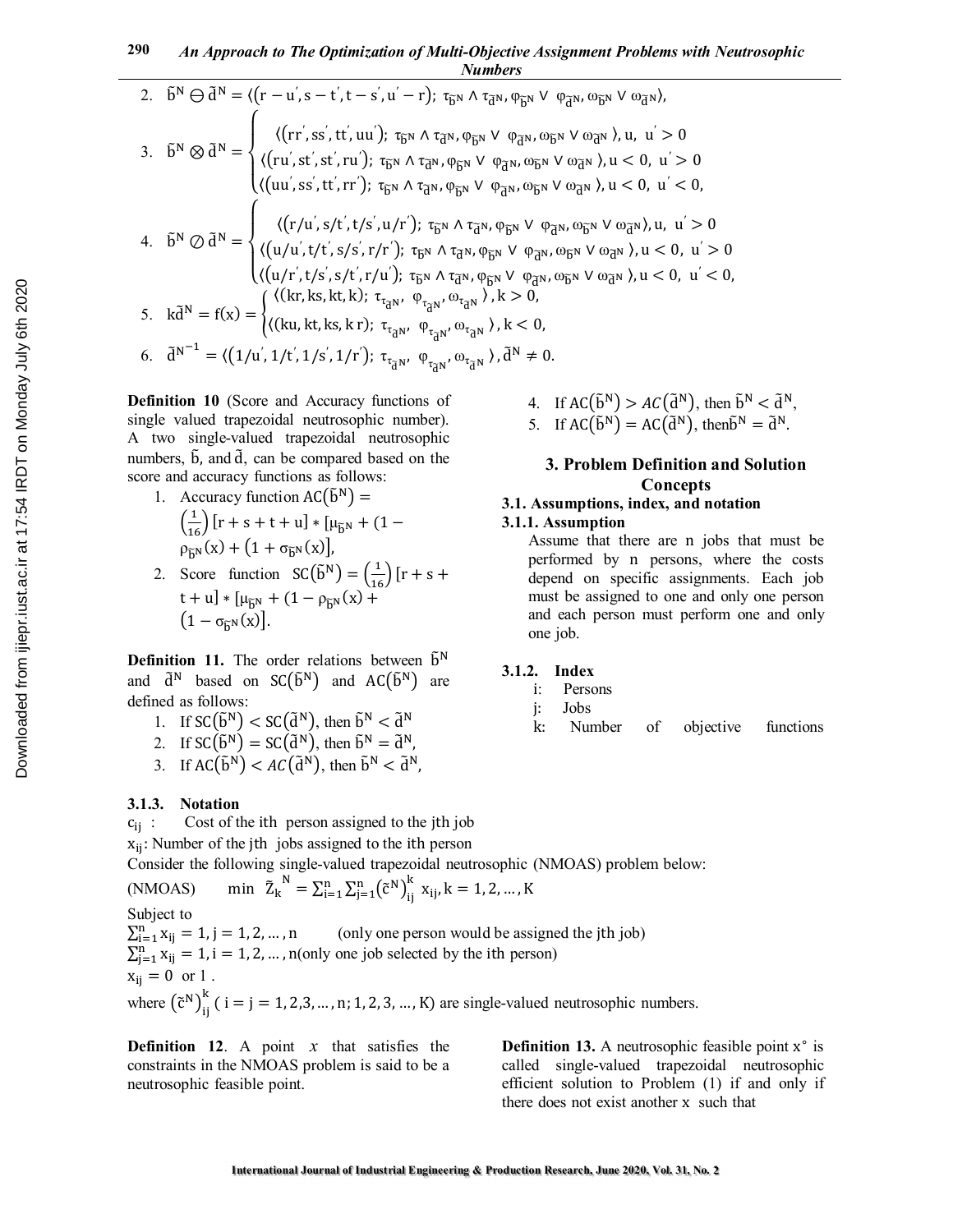2. 
$$
\tilde{b}^{N} \ominus \tilde{d}^{N} = \langle (r - u^{'}, s - t^{'}, t - s^{'}, u^{'} - r); \tau_{\tilde{b}^{N}} \wedge \tau_{\tilde{d}^{N}}, \varphi_{\tilde{b}^{N}} \vee \varphi_{\tilde{d}^{N}}, \omega_{\tilde{b}^{N}} \vee \omega_{\tilde{d}^{N}}),
$$
  
\n3. 
$$
\tilde{b}^{N} \otimes \tilde{d}^{N} = \begin{cases} \langle (rr^{'}, ss^{'}, tt^{'}, uu^{'}); \tau_{\tilde{b}^{N}} \wedge \tau_{\tilde{d}^{N}}, \varphi_{\tilde{b}^{N}} \vee \varphi_{\tilde{d}^{N}}, \omega_{\tilde{b}^{N}} \vee \omega_{\tilde{d}^{N}}), u, u^{'} > 0 \\ \langle (ru^{'}, st^{'}, st^{'}, ru^{'}); \tau_{\tilde{b}^{N}} \wedge \tau_{\tilde{d}^{N}}, \varphi_{\tilde{b}^{N}} \vee \varphi_{\tilde{d}^{N}}, \omega_{\tilde{b}^{N}} \vee \omega_{\tilde{d}^{N}}, u < 0, u^{'} > 0 \\ \langle (uu^{'}, ss^{'}, tt^{'}, rr^{'}); \tau_{\tilde{b}^{N}} \wedge \tau_{\tilde{d}^{N}}, \varphi_{\tilde{b}^{N}} \vee \varphi_{\tilde{d}^{N}}, \omega_{\tilde{b}^{N}} \vee \omega_{\tilde{d}^{N}}), u < 0, u^{'} < 0, \end{cases}
$$
  
\n4. 
$$
\tilde{b}^{N} \oslash \tilde{d}^{N} = \begin{cases} \langle (r/u^{'}, st^{'}, ts^{'}, ru^{'}); \tau_{\tilde{b}^{N}} \wedge \tau_{\tilde{d}^{N}}, \varphi_{\tilde{b}^{N}} \vee \varphi_{\tilde{d}^{N}}, \omega_{\tilde{b}^{N}} \vee \omega_{\tilde{d}^{N}}, u < 0, u^{'} > 0 \\ \langle (u/u^{'}, t/t^{'}, ss^{'}, rt^{'}, u^{'}); \tau_{\tilde{b}^{N}} \wedge \tau_{\tilde{d}^{N}}, \varphi_{\tilde{b}^{N}} \vee \varphi_{\tilde{d}^{
$$

**Definition 10** (Score and Accuracy functions of single valued trapezoidal neutrosophic number). A two single-valued trapezoidal neutrosophic numbers,  $\tilde{b}$ , and  $\tilde{d}$ , can be compared based on the score and accuracy functions as follows:

- 1. Accuracy function  $AC(\tilde{b}^N) =$  $\left(\frac{1}{16}\right)$  [r + s + t + u] \* [ $\mu_{\tilde{b}N}$  + (1 –  $\rho_{\tilde{h}^{N}}(x) + (1 + \sigma_{\tilde{b}^{N}}(x)),$
- 2. Score function  $SC(\tilde{b}^N) = \left(\frac{1}{16}\right) [r + s +$  $t + u$ ] \* [ $\mu_{\tilde{h}N} + (1 - \rho_{\tilde{h}N}(x) +$  $(1 - \sigma_{\widetilde{h}N}(x))$ .

**Definition 11.** The order relations between  $\tilde{b}^N$ and  $\tilde{d}^N$  based on SC $(\tilde{b}^N)$  and AC $(\tilde{b}^N)$  are defined as follows:

- 1. If  $SC(\tilde{b}^N) < SC(\tilde{d}^N)$ , then  $\tilde{b}^N < \tilde{d}^N$
- 2. If  $SC(\tilde{b}^N) = SC(\tilde{d}^N)$ , then  $\tilde{b}^N = \tilde{d}^N$ ,
- 3. If  $AC(\tilde{b}^N) < AC(\tilde{d}^N)$ , then  $\tilde{b}^N < \tilde{d}^N$ ,

### **3.1.3. Notation**

 $c_{ii}$ : Cost of the ith person assigned to the jth job  $x_{ii}$ : Number of the jth jobs assigned to the ith person Consider the following single-valued trapezoidal neutrosophic (NMOAS) problem below: (NMOAS) min  $\tilde{Z}_k$  $S^{N} = \sum_{i=1}^{n} \sum_{j=1}^{n} (\tilde{c}^{N})_{ij}^{k}$  $\sum_{i=1}^{n} \sum_{j=1}^{n} (\tilde{c}^{N})_{ii}^{k} x_{ij}, k = 1, 2, ..., K$ Subject to  $\sum_{i=1}^n x_{ij}$ (only one person would be assigned the jth job)  $\sum_{j=1}^{n} x_{ij} = 1$ , i = 1, 2, ..., n(only one job selected by the ith person)  $x_{ii} = 0$  or 1.

where  $(\tilde{c}^N)_{ij}^{\kappa}$  $_{11}^{k}$  ( i = j = 1, 2,3, ..., n; 1, 2, 3, ..., K) are single-valued neutrosophic numbers.

**Definition 12**. A point *x* that satisfies the constraints in the NMOAS problem is said to be a neutrosophic feasible point.

**Definition 13.** A neutrosophic feasible point x° is called single-valued trapezoidal neutrosophic efficient solution to Problem (1) if and only if there does not exist another x such that

4. If 
$$
AC(\tilde{b}^N) > AC(\tilde{d}^N)
$$
, then  $\tilde{b}^N < \tilde{d}^N$ ,  
5. If  $AC(\tilde{b}^N) = AC(\tilde{d}^N)$ , then  $\tilde{b}^N = \tilde{d}^N$ .

# **3. Problem Definition and Solution Concepts**

# **3.1. Assumptions, index, and notation**

### **3.1.1. Assumption**

Assume that there are n jobs that must be performed by n persons, where the costs depend on specific assignments. Each job must be assigned to one and only one person and each person must perform one and only one job.

## **3.1.2. Index**

- i: Persons
- j: Jobs
- k: Number of objective functions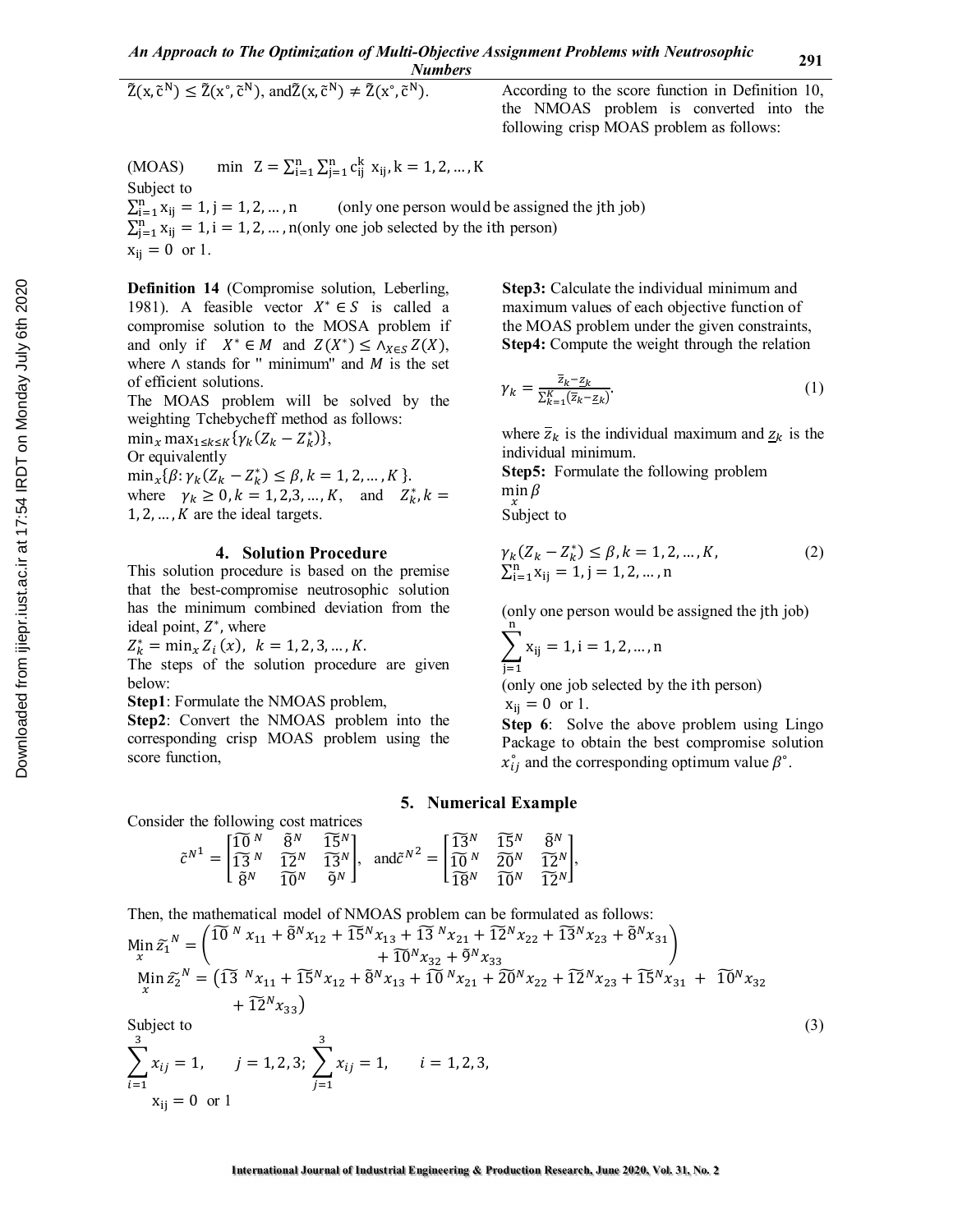$$
\widetilde{Z}(x,\widetilde{c}^N) \le \widetilde{Z}(x^\circ,\widetilde{c}^N), \text{ and } \widetilde{Z}(x,\widetilde{c}^N) \ne \widetilde{Z}(x^\circ,\widetilde{c}^N).
$$

). According to the score function in Definition 10, the NMOAS problem is converted into the following crisp MOAS problem as follows:

(MOAS) min 
$$
Z = \sum_{i=1}^{n} \sum_{j=1}^{n} c_{ij}^{k}
$$
  $x_{ij}$ ,  $k = 1, 2, ..., K$   
\nSubject to  
\n $\sum_{i=1}^{n} x_{ij} = 1$ ,  $j = 1, 2, ..., n$  (only one person would be assigned the jth job)  
\n $\sum_{j=1}^{n} x_{ij} = 1$ ,  $i = 1, 2, ..., n$ (only one job selected by the ith person)  
\n $x_{ij} = 0$  or 1.

**Definition 14** (Compromise solution, Leberling, 1981). A feasible vector  $X^* \in S$  is called a compromise solution to the MOSA problem if and only if  $X^* \in M$  and  $Z(X^*) \leq \Lambda_{X \in S} Z(X)$ , where  $\wedge$  stands for " minimum" and  $M$  is the set of efficient solutions.

The MOAS problem will be solved by the weighting Tchebycheff method as follows:

 $\min_x \max_{1 \leq k \leq K} {\gamma_k (Z_k - Z_k^*)},$ 

Or equivalently

 $\min_{x} {\{\beta : \gamma_k (Z_k - Z_k^*) \leq \beta, k = 1, 2, ..., K\}}.$ 

where  $\gamma_k \ge 0, k = 1, 2, 3, ..., K$ , and  $Z_k^*, k =$  $1, 2, \ldots, K$  are the ideal targets.

### **4. Solution Procedure**

This solution procedure is based on the premise that the best-compromise neutrosophic solution has the minimum combined deviation from the ideal point,  $Z^*$ , where

 $Z_k^* = \min_x Z_i(x), \ \ k = 1, 2, 3, ..., K.$ 

The steps of the solution procedure are given below:

**Step1**: Formulate the NMOAS problem,

**Step2**: Convert the NMOAS problem into the corresponding crisp MOAS problem using the score function,

**Step3:** Calculate the individual minimum and maximum values of each objective function of the MOAS problem under the given constraints, **Step4:** Compute the weight through the relation

$$
\gamma_k = \frac{\overline{z}_{k-2k}}{\sum_{k=1}^K (\overline{z}_k - \underline{z}_k)}.
$$
\n(1)

where  $\overline{z}_k$  is the individual maximum and  $z_k$  is the individual minimum.

**Step5:** Formulate the following problem min  $\beta$ 

 $\int_{0}^{x}$  subject to

$$
\gamma_k(Z_k - Z_k^*) \le \beta, k = 1, 2, ..., K, \n\sum_{i=1}^n x_{ij} = 1, j = 1, 2, ..., n
$$
\n(2)

(only one person would be assigned the jth job) ୬

$$
\sum_{j=1} x_{ij} = 1, i = 1, 2, ..., n
$$

(only one job selected by the ith person)

$$
x_{ij} = 0 \text{ or } 1.
$$

**Step 6**: Solve the above problem using Lingo Package to obtain the best compromise solution  $x_{ij}^{\circ}$  and the corresponding optimum value  $\beta^{\circ}$ .

#### **5. Numerical Example**

Consider the following cost matrices  

$$
5\overline{0}N
$$

$$
\tilde{c}^{N^1}=\begin{bmatrix} \widetilde{10}^N & \widetilde{8}^N & \widetilde{15}^N \\ \widetilde{13}^N & \widetilde{12}^N & \widetilde{13}^N \\ \widetilde{8}^N & \widetilde{10}^N & \widetilde{9}^N \end{bmatrix},\ \ \text{and} \ \tilde{c}^{N^2}=\begin{bmatrix} \widetilde{13}^N & \widetilde{15}^N & \widetilde{8}^N \\ \widetilde{10}^N & \widetilde{20}^N & \widetilde{12}^N \\ \widetilde{18}^N & \widetilde{10}^N & \widetilde{12}^N \end{bmatrix},
$$

Then, the mathematical model of NMOAS problem can be formulated as follows:

$$
\begin{split}\n\min_{x} \tilde{z}_{1}^{N} &= \left( \begin{matrix} \widetilde{10}^{N} x_{11} + \widetilde{8}^{N} x_{12} + \widetilde{15}^{N} x_{13} + \widetilde{13}^{N} x_{21} + \widetilde{12}^{N} x_{22} + \widetilde{13}^{N} x_{23} + \widetilde{8}^{N} x_{31} \\ &+ \widetilde{10}^{N} x_{32} + \widetilde{9}^{N} x_{33} \\ \text{Min } \tilde{z}_{2}^{N} &= \left( \widetilde{13}^{N} x_{11} + \widetilde{15}^{N} x_{12} + \widetilde{8}^{N} x_{13} + \widetilde{10}^{N} x_{21} + 2\widetilde{0}^{N} x_{22} + \widetilde{12}^{N} x_{23} + \widetilde{15}^{N} x_{31} + \widetilde{10}^{N} x_{32} \\ &+ \widetilde{12}^{N} x_{33} \right)\n\end{split}
$$
\nSubject to

\n
$$
\tag{3}
$$

$$
\sum_{i=1}^{3} x_{ij} = 1, \qquad j = 1, 2, 3; \ \sum_{j=1}^{3} x_{ij} = 1, \qquad i = 1, 2, 3, \ x_{ij} = 0 \text{ or } 1
$$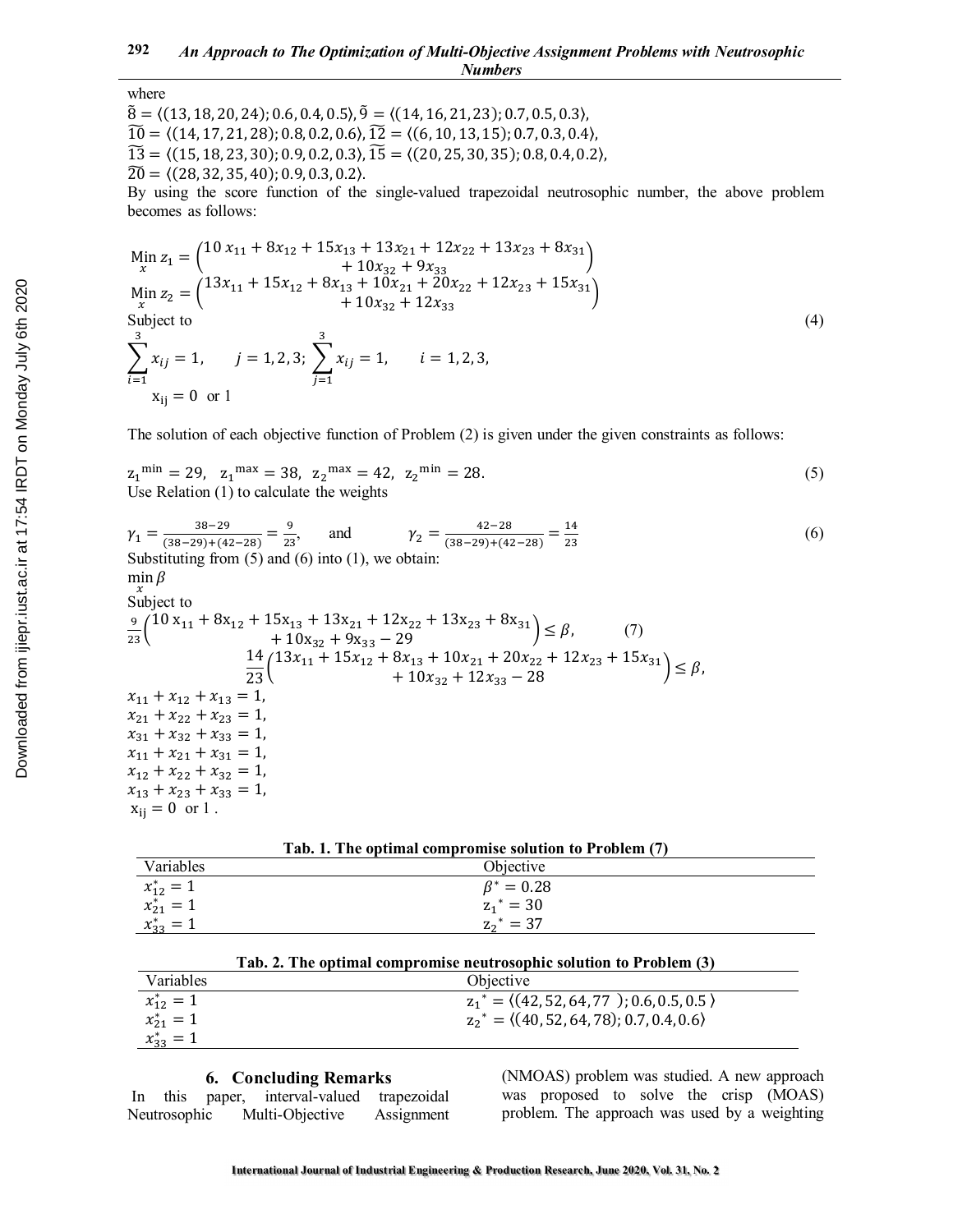# where

 $\tilde{8} = \langle (13, 18, 20, 24); 0.6, 0.4, 0.5 \rangle$ ,  $\tilde{9} = \langle (14, 16, 21, 23); 0.7, 0.5, 0.3 \rangle$ ,  $\widetilde{10} = \langle (14, 17, 21, 28); 0.8, 0.2, 0.6 \rangle$ ,  $\widetilde{12} = \langle (6, 10, 13, 15); 0.7, 0.3, 0.4 \rangle$ ,  $\widetilde{13} = \langle (15, 18, 23, 30); 0.9, 0.2, 0.3 \rangle$ ,  $\widetilde{15} = \langle (20, 25, 30, 35); 0.8, 0.4, 0.2 \rangle$ ,  $\widetilde{20} = \langle (28, 32, 35, 40); 0.9, 0.3, 0.2 \rangle$ .

By using the score function of the single-valued trapezoidal neutrosophic number, the above problem becomes as follows:

$$
\begin{aligned}\n\min_{x} z_{1} &= \begin{pmatrix} 10 \, x_{11} + 8x_{12} + 15x_{13} + 13x_{21} + 12x_{22} + 13x_{23} + 8x_{31} \\ \n &+ 10x_{32} + 9x_{33} \\ \n \min_{x} z_{2} &= \begin{pmatrix} 13x_{11} + 15x_{12} + 8x_{13} + 10x_{21} + 20x_{22} + 12x_{23} + 15x_{31} \\ \n &+ 10x_{32} + 12x_{33} \end{pmatrix} \\
\text{Subject to} \\
\sum_{i=1}^{3} x_{ij} &= 1, \quad j = 1, 2, 3; \quad \sum_{j=1}^{3} x_{ij} = 1, \quad i = 1, 2, 3, \\
x_{ij} &= 0 \text{ or } 1\n\end{aligned}\n\tag{4}
$$

The solution of each objective function of Problem (2) is given under the given constraints as follows:

 $z_1^{\text{min}} = 29$ ,  $z_1^{\text{max}} = 38$ ,  $z_2^{\text{max}} = 42$ ,  $z_2^{\text{min}} = 28$ . (5) Use Relation (1) to calculate the weights

$$
\gamma_{1} = \frac{38-29}{(38-29)+(42-28)} = \frac{9}{23}, \quad \text{and} \quad \gamma_{2} = \frac{42-28}{(38-29)+(42-28)} = \frac{14}{23}
$$
\nSubstituting from (5) and (6) into (1), we obtain:  
\n
$$
\min_{\text{min}} \beta
$$
\nSubject to  
\n
$$
\frac{9}{23} \left( 10 x_{11} + 8 x_{12} + 15 x_{13} + 13 x_{21} + 12 x_{22} + 13 x_{23} + 8 x_{31} \right) \leq \beta, \quad (7)
$$
\n
$$
+ 10 x_{32} + 9 x_{33} - 29
$$
\n
$$
\frac{14}{23} \left( 13 x_{11} + 15 x_{12} + 8 x_{13} + 10 x_{21} + 20 x_{22} + 12 x_{23} + 15 x_{31} \right) \leq \beta,
$$
\n
$$
x_{11} + x_{12} + x_{13} = 1, \quad x_{21} + x_{22} + x_{23} = 1, \quad x_{31} + x_{32} + x_{33} = 1, \quad x_{12} + x_{22} + x_{33} = 1, \quad x_{13} + x_{23} + x_{33} = 1, \quad x_{13} + x_{23} + x_{33} = 1, \quad x_{13} + x_{23} + x_{33} = 1, \quad x_{13} + x_{23} + x_{33} = 1, \quad x_{13} + x_{23} + x_{33} = 1, \quad x_{13} + x_{23} + x_{33} = 1, \quad x_{14} + x_{15} + x_{16} = 0 \text{ or } 1.
$$
\n(6)

| Tab. 1. The optimal compromise solution to Problem (7) |                  |  |  |  |  |
|--------------------------------------------------------|------------------|--|--|--|--|
| Variables                                              | Objective        |  |  |  |  |
| $x_{12}^* = 1$                                         | $\beta^* = 0.28$ |  |  |  |  |
| $x_{21}^* = 1$                                         | $z_1^* = 30$     |  |  |  |  |
| $x_{33}^* = 1$                                         | $z_2^* = 37$     |  |  |  |  |
|                                                        |                  |  |  |  |  |

| Tab. 2. The optimal compromise neutrosophic solution to Problem (3) |  |  |
|---------------------------------------------------------------------|--|--|
|---------------------------------------------------------------------|--|--|

| Variables      | Objective                                                  |
|----------------|------------------------------------------------------------|
| $x_{12}^* = 1$ | $z_1^* = \langle (42, 52, 64, 77) ; 0.6, 0.5, 0.5 \rangle$ |
| $x_{21}^* = 1$ | $z_2^* = \langle (40, 52, 64, 78); 0.7, 0.4, 0.6 \rangle$  |
| $x_{33}^* = 1$ |                                                            |

### **6. Concluding Remarks**

| In | this         | paper, | interval-valued | trapezoidal |
|----|--------------|--------|-----------------|-------------|
|    | Neutrosophic |        | Multi-Objective | Assignment  |

(NMOAS) problem was studied. A new approach was proposed to solve the crisp (MOAS) problem. The approach was used by a weighting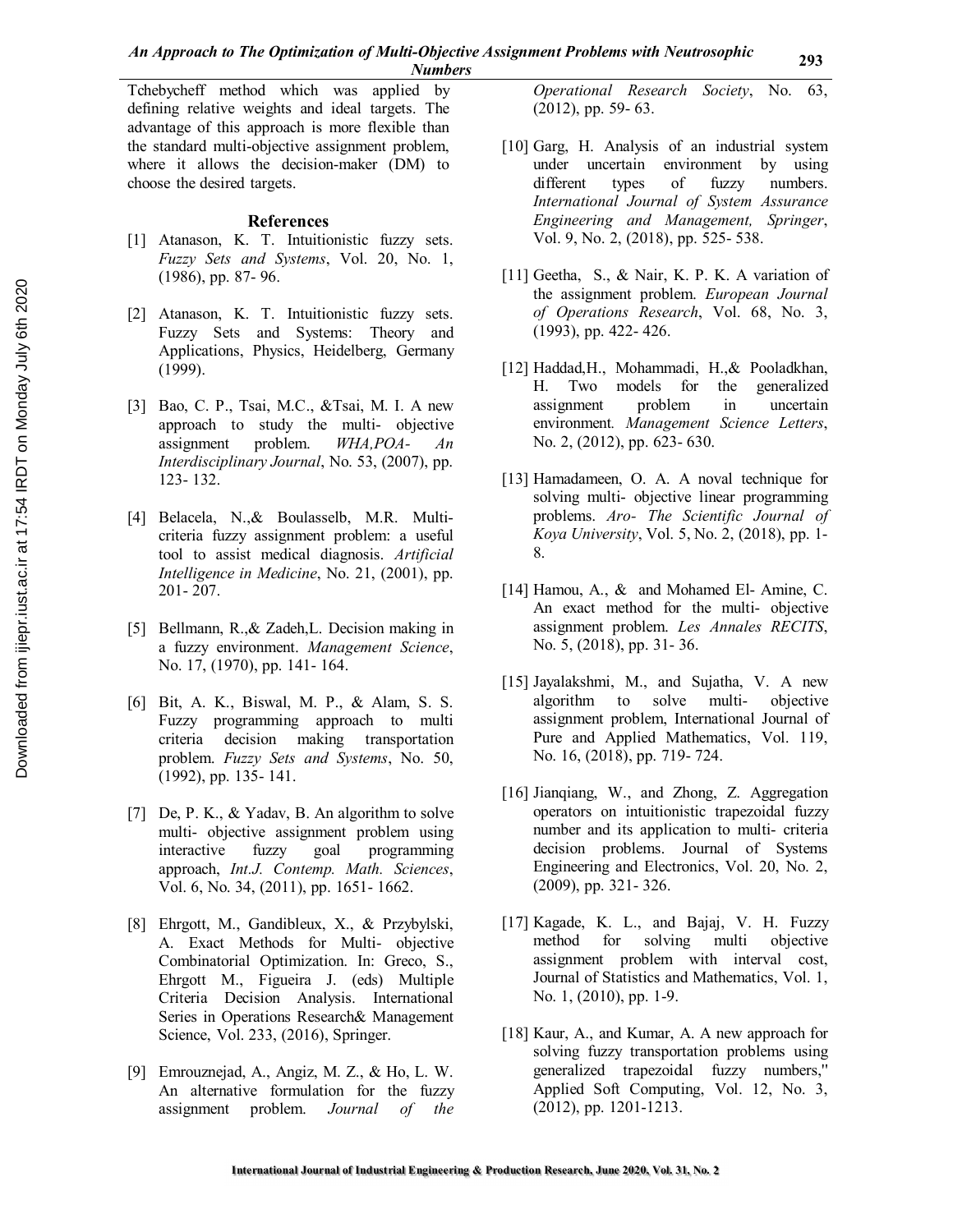Tchebycheff method which was applied by defining relative weights and ideal targets. The advantage of this approach is more flexible than the standard multi-objective assignment problem, where it allows the decision-maker (DM) to choose the desired targets.

### **References**

- [1] Atanason, K. T. Intuitionistic fuzzy sets. *Fuzzy Sets and Systems*, Vol. 20, No. 1, (1986), pp. 87- 96.
- [2] Atanason, K. T. Intuitionistic fuzzy sets. Fuzzy Sets and Systems: Theory and Applications, Physics, Heidelberg, Germany (1999).
- [3] Bao, C. P., Tsai, M.C., &Tsai, M. I. A new approach to study the multi- objective assignment problem. *WHA,POA- An Interdisciplinary Journal*, No. 53, (2007), pp. 123- 132.
- [4] Belacela, N.,& Boulasselb, M.R. Multicriteria fuzzy assignment problem: a useful tool to assist medical diagnosis. *Artificial Intelligence in Medicine*, No. 21, (2001), pp. 201- 207.
- [5] Bellmann, R.,& Zadeh,L. Decision making in a fuzzy environment. *Management Science*, No. 17, (1970), pp. 141- 164.
- [6] Bit, A. K., Biswal, M. P., & Alam, S. S. Fuzzy programming approach to multi criteria decision making transportation problem. *Fuzzy Sets and Systems*, No. 50, (1992), pp. 135- 141.
- [7] De, P. K., & Yadav, B. An algorithm to solve multi- objective assignment problem using interactive fuzzy goal programming approach, *Int.J. Contemp. Math. Sciences*, Vol. 6, No. 34, (2011), pp. 1651- 1662.
- [8] Ehrgott, M., Gandibleux, X., & Przybylski, A. Exact Methods for Multi- objective Combinatorial Optimization. In: Greco, S., Ehrgott M., Figueira J. (eds) Multiple Criteria Decision Analysis. International Series in Operations Research& Management Science, Vol. 233, (2016), Springer.
- [9] Emrouznejad, A., Angiz, M. Z., & Ho, L. W. An alternative formulation for the fuzzy assignment problem. *Journal of the*

*Operational Research Society*, No. 63, (2012), pp. 59- 63.

- [10] Garg, H. Analysis of an industrial system under uncertain environment by using different types of fuzzy numbers. *International Journal of System Assurance Engineering and Management, Springer*, Vol. 9, No. 2, (2018), pp. 525- 538.
- [11] Geetha, S., & Nair, K. P. K. A variation of the assignment problem. *European Journal of Operations Research*, Vol. 68, No. 3, (1993), pp. 422- 426.
- [12] Haddad,H., Mohammadi, H.,& Pooladkhan, H. Two models for the generalized assignment problem in uncertain environment*. Management Science Letters*, No. 2, (2012), pp. 623- 630.
- [13] Hamadameen, O. A. A noval technique for solving multi- objective linear programming problems. *Aro- The Scientific Journal of Koya University*, Vol. 5, No. 2, (2018), pp. 1- 8.
- [14] Hamou, A., & and Mohamed El- Amine, C. An exact method for the multi- objective assignment problem. *Les Annales RECITS*, No. 5, (2018), pp. 31- 36.
- [15] Jayalakshmi, M., and Sujatha, V. A new algorithm to solve multi- objective assignment problem, International Journal of Pure and Applied Mathematics, Vol. 119, No. 16, (2018), pp. 719- 724.
- [16] Jianqiang, W., and Zhong, Z. Aggregation operators on intuitionistic trapezoidal fuzzy number and its application to multi- criteria decision problems. Journal of Systems Engineering and Electronics, Vol. 20, No. 2, (2009), pp. 321- 326.
- [17] Kagade, K. L., and Bajaj, V. H. Fuzzy method for solving multi objective assignment problem with interval cost, Journal of Statistics and Mathematics, Vol. 1, No. 1, (2010), pp. 1-9.
- [18] Kaur, A., and Kumar, A. A new approach for solving fuzzy transportation problems using generalized trapezoidal fuzzy numbers,'' Applied Soft Computing, Vol. 12, No. 3, (2012), pp. 1201-1213.